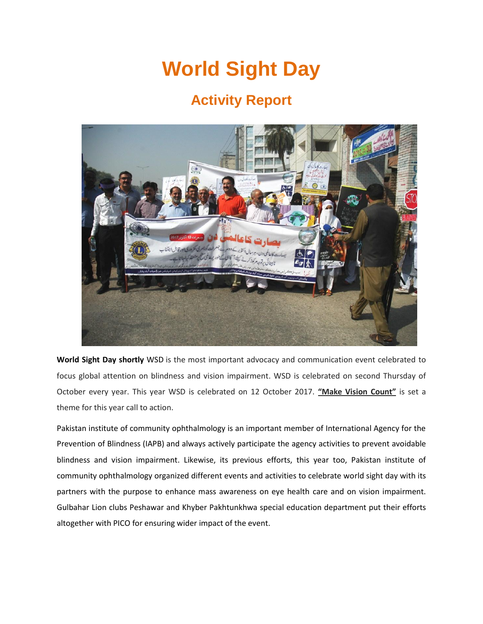# **World Sight Day**

# **Activity Report**



**World Sight Day shortly** WSD is the most important advocacy and communication event celebrated to focus global attention on blindness and vision impairment. WSD is celebrated on second Thursday of October every year. This year WSD is celebrated on 12 October 2017. **"Make Vision Count"** is set a theme for this year call to action.

Pakistan institute of community ophthalmology is an important member of International Agency for the Prevention of Blindness (IAPB) and always actively participate the agency activities to prevent avoidable blindness and vision impairment. Likewise, its previous efforts, this year too, Pakistan institute of community ophthalmology organized different events and activities to celebrate world sight day with its partners with the purpose to enhance mass awareness on eye health care and on vision impairment. Gulbahar Lion clubs Peshawar and Khyber Pakhtunkhwa special education department put their efforts altogether with PICO for ensuring wider impact of the event.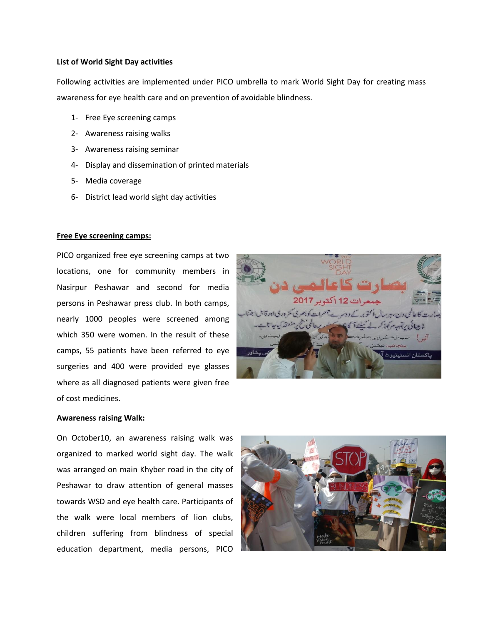#### **List of World Sight Day activities**

Following activities are implemented under PICO umbrella to mark World Sight Day for creating mass awareness for eye health care and on prevention of avoidable blindness.

- 1- Free Eye screening camps
- 2- Awareness raising walks
- 3- Awareness raising seminar
- 4- Display and dissemination of printed materials
- 5- Media coverage
- 6- District lead world sight day activities

#### **Free Eye screening camps:**

PICO organized free eye screening camps at two locations, one for community members in Nasirpur Peshawar and second for media persons in Peshawar press club. In both camps, nearly 1000 peoples were screened among which 350 were women. In the result of these camps, 55 patients have been referred to eye surgeries and 400 were provided eye glasses where as all diagnosed patients were given free of cost medicines.



#### **Awareness raising Walk:**

On October10, an awareness raising walk was organized to marked world sight day. The walk was arranged on main Khyber road in the city of Peshawar to draw attention of general masses towards WSD and eye health care. Participants of the walk were local members of lion clubs, children suffering from blindness of special education department, media persons, PICO

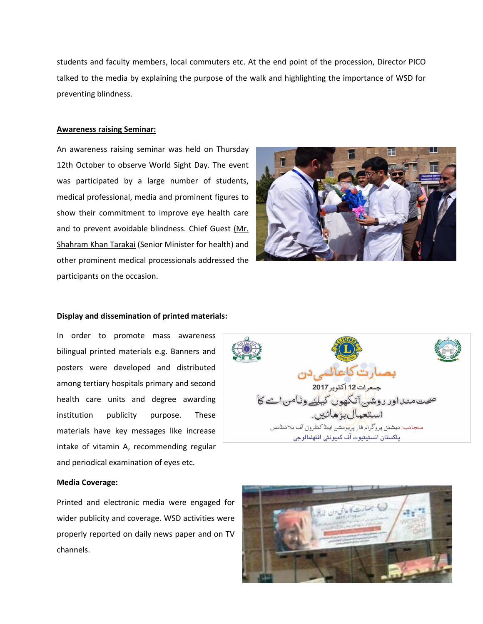students and faculty members, local commuters etc. At the end point of the procession, Director PICO talked to the media by explaining the purpose of the walk and highlighting the importance of WSD for preventing blindness.

#### **Awareness raising Seminar:**

An awareness raising seminar was held on Thursday 12th October to observe World Sight Day. The event was participated by a large number of students, medical professional, media and prominent figures to show their commitment to improve eye health care and to prevent avoidable blindness. Chief Guest (Mr. Shahram Khan Tarakai (Senior Minister for health) and other prominent medical processionals addressed the participants on the occasion.



#### **Display and dissemination of printed materials:**

In order to promote mass awareness bilingual printed materials e.g. Banners and posters were developed and distributed among tertiary hospitals primary and second health care units and degree awarding institution publicity purpose. These materials have key messages like increase intake of vitamin A, recommending regular and periodical examination of eyes etc.



#### **Media Coverage:**

Printed and electronic media were engaged for wider publicity and coverage. WSD activities were properly reported on daily news paper and on TV channels.